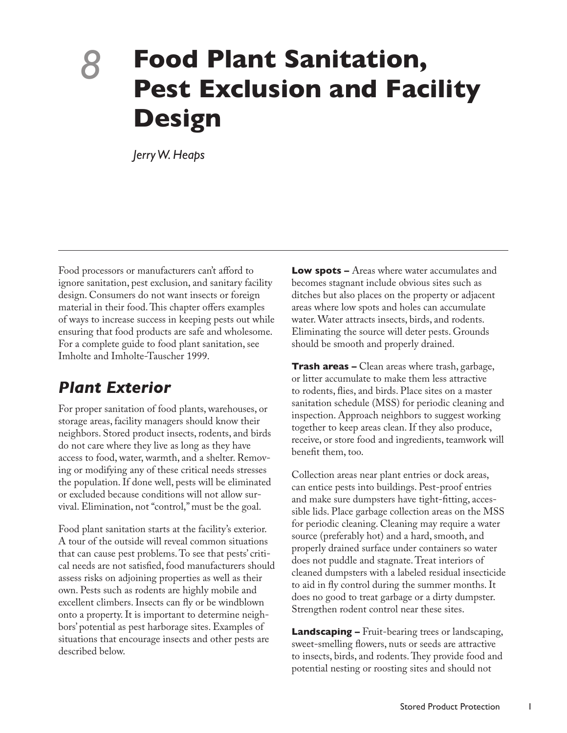# *8* **Food Plant Sanitation, Pest Exclusion and Facility Design**

*Jerry W. Heaps*

Food processors or manufacturers can't afford to ignore sanitation, pest exclusion, and sanitary facility design. Consumers do not want insects or foreign material in their food. This chapter offers examples of ways to increase success in keeping pests out while ensuring that food products are safe and wholesome. For a complete guide to food plant sanitation, see Imholte and Imholte-Tauscher 1999.

#### *Plant Exterior*

For proper sanitation of food plants, warehouses, or storage areas, facility managers should know their neighbors. Stored product insects, rodents, and birds do not care where they live as long as they have access to food, water, warmth, and a shelter. Removing or modifying any of these critical needs stresses the population. If done well, pests will be eliminated or excluded because conditions will not allow survival. Elimination, not "control," must be the goal.

Food plant sanitation starts at the facility's exterior. A tour of the outside will reveal common situations that can cause pest problems. To see that pests' critical needs are not satisfied, food manufacturers should assess risks on adjoining properties as well as their own. Pests such as rodents are highly mobile and excellent climbers. Insects can fly or be windblown onto a property. It is important to determine neighbors' potential as pest harborage sites. Examples of situations that encourage insects and other pests are described below.

**Low spots –** Areas where water accumulates and becomes stagnant include obvious sites such as ditches but also places on the property or adjacent areas where low spots and holes can accumulate water. Water attracts insects, birds, and rodents. Eliminating the source will deter pests. Grounds should be smooth and properly drained.

**Trash areas –** Clean areas where trash, garbage, or litter accumulate to make them less attractive to rodents, flies, and birds. Place sites on a master sanitation schedule (MSS) for periodic cleaning and inspection. Approach neighbors to suggest working together to keep areas clean. If they also produce, receive, or store food and ingredients, teamwork will benefit them, too.

Collection areas near plant entries or dock areas, can entice pests into buildings. Pest-proof entries and make sure dumpsters have tight-fitting, accessible lids. Place garbage collection areas on the MSS for periodic cleaning. Cleaning may require a water source (preferably hot) and a hard, smooth, and properly drained surface under containers so water does not puddle and stagnate. Treat interiors of cleaned dumpsters with a labeled residual insecticide to aid in fly control during the summer months. It does no good to treat garbage or a dirty dumpster. Strengthen rodent control near these sites.

**Landscaping –** Fruit-bearing trees or landscaping, sweet-smelling flowers, nuts or seeds are attractive to insects, birds, and rodents. They provide food and potential nesting or roosting sites and should not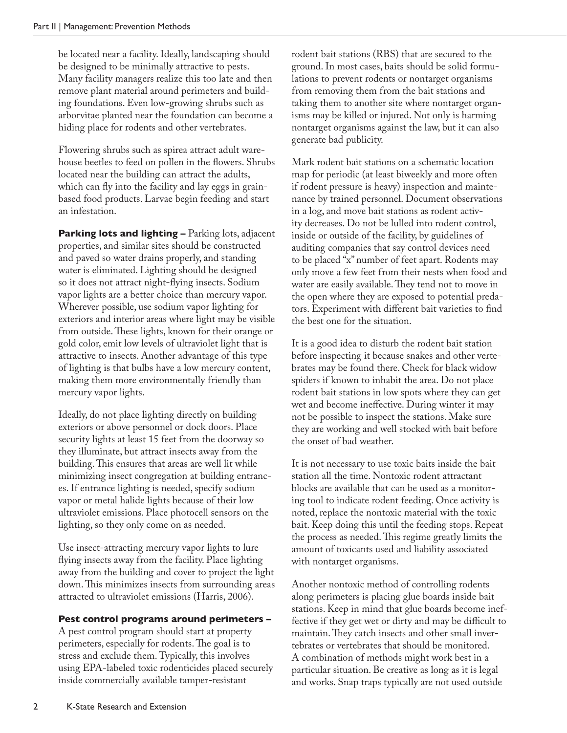be located near a facility. Ideally, landscaping should be designed to be minimally attractive to pests. Many facility managers realize this too late and then remove plant material around perimeters and building foundations. Even low-growing shrubs such as arborvitae planted near the foundation can become a hiding place for rodents and other vertebrates.

Flowering shrubs such as spirea attract adult warehouse beetles to feed on pollen in the flowers. Shrubs located near the building can attract the adults, which can fly into the facility and lay eggs in grainbased food products. Larvae begin feeding and start an infestation.

**Parking lots and lighting –** Parking lots, adjacent properties, and similar sites should be constructed and paved so water drains properly, and standing water is eliminated. Lighting should be designed so it does not attract night-flying insects. Sodium vapor lights are a better choice than mercury vapor. Wherever possible, use sodium vapor lighting for exteriors and interior areas where light may be visible from outside. These lights, known for their orange or gold color, emit low levels of ultraviolet light that is attractive to insects. Another advantage of this type of lighting is that bulbs have a low mercury content, making them more environmentally friendly than mercury vapor lights.

Ideally, do not place lighting directly on building exteriors or above personnel or dock doors. Place security lights at least 15 feet from the doorway so they illuminate, but attract insects away from the building. This ensures that areas are well lit while minimizing insect congregation at building entrances. If entrance lighting is needed, specify sodium vapor or metal halide lights because of their low ultraviolet emissions. Place photocell sensors on the lighting, so they only come on as needed.

Use insect-attracting mercury vapor lights to lure flying insects away from the facility. Place lighting away from the building and cover to project the light down. This minimizes insects from surrounding areas attracted to ultraviolet emissions (Harris, 2006).

#### **Pest control programs around perimeters –**

A pest control program should start at property perimeters, especially for rodents. The goal is to stress and exclude them. Typically, this involves using EPA-labeled toxic rodenticides placed securely inside commercially available tamper-resistant

rodent bait stations (RBS) that are secured to the ground. In most cases, baits should be solid formulations to prevent rodents or nontarget organisms from removing them from the bait stations and taking them to another site where nontarget organisms may be killed or injured. Not only is harming nontarget organisms against the law, but it can also generate bad publicity.

Mark rodent bait stations on a schematic location map for periodic (at least biweekly and more often if rodent pressure is heavy) inspection and maintenance by trained personnel. Document observations in a log, and move bait stations as rodent activity decreases. Do not be lulled into rodent control, inside or outside of the facility, by guidelines of auditing companies that say control devices need to be placed "x" number of feet apart. Rodents may only move a few feet from their nests when food and water are easily available. They tend not to move in the open where they are exposed to potential predators. Experiment with different bait varieties to find the best one for the situation.

It is a good idea to disturb the rodent bait station before inspecting it because snakes and other vertebrates may be found there. Check for black widow spiders if known to inhabit the area. Do not place rodent bait stations in low spots where they can get wet and become ineffective. During winter it may not be possible to inspect the stations. Make sure they are working and well stocked with bait before the onset of bad weather.

It is not necessary to use toxic baits inside the bait station all the time. Nontoxic rodent attractant blocks are available that can be used as a monitoring tool to indicate rodent feeding. Once activity is noted, replace the nontoxic material with the toxic bait. Keep doing this until the feeding stops. Repeat the process as needed. This regime greatly limits the amount of toxicants used and liability associated with nontarget organisms.

Another nontoxic method of controlling rodents along perimeters is placing glue boards inside bait stations. Keep in mind that glue boards become ineffective if they get wet or dirty and may be difficult to maintain. They catch insects and other small invertebrates or vertebrates that should be monitored. A combination of methods might work best in a particular situation. Be creative as long as it is legal and works. Snap traps typically are not used outside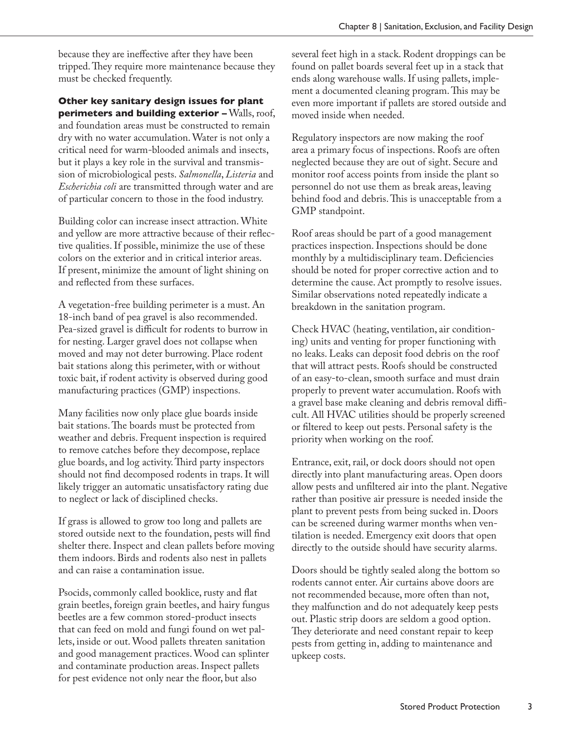because they are ineffective after they have been tripped. They require more maintenance because they must be checked frequently.

**Other key sanitary design issues for plant** 

**perimeters and building exterior –** Walls, roof, and foundation areas must be constructed to remain dry with no water accumulation. Water is not only a critical need for warm-blooded animals and insects, but it plays a key role in the survival and transmission of microbiological pests. *Salmonella*, *Listeria* and *Escherichia coli* are transmitted through water and are of particular concern to those in the food industry.

Building color can increase insect attraction. White and yellow are more attractive because of their reflective qualities. If possible, minimize the use of these colors on the exterior and in critical interior areas. If present, minimize the amount of light shining on and reflected from these surfaces.

A vegetation-free building perimeter is a must. An 18-inch band of pea gravel is also recommended. Pea-sized gravel is difficult for rodents to burrow in for nesting. Larger gravel does not collapse when moved and may not deter burrowing. Place rodent bait stations along this perimeter, with or without toxic bait, if rodent activity is observed during good manufacturing practices (GMP) inspections.

Many facilities now only place glue boards inside bait stations. The boards must be protected from weather and debris. Frequent inspection is required to remove catches before they decompose, replace glue boards, and log activity. Third party inspectors should not find decomposed rodents in traps. It will likely trigger an automatic unsatisfactory rating due to neglect or lack of disciplined checks.

If grass is allowed to grow too long and pallets are stored outside next to the foundation, pests will find shelter there. Inspect and clean pallets before moving them indoors. Birds and rodents also nest in pallets and can raise a contamination issue.

Psocids, commonly called booklice, rusty and flat grain beetles, foreign grain beetles, and hairy fungus beetles are a few common stored-product insects that can feed on mold and fungi found on wet pallets, inside or out. Wood pallets threaten sanitation and good management practices. Wood can splinter and contaminate production areas. Inspect pallets for pest evidence not only near the floor, but also

several feet high in a stack. Rodent droppings can be found on pallet boards several feet up in a stack that ends along warehouse walls. If using pallets, implement a documented cleaning program. This may be even more important if pallets are stored outside and moved inside when needed.

Regulatory inspectors are now making the roof area a primary focus of inspections. Roofs are often neglected because they are out of sight. Secure and monitor roof access points from inside the plant so personnel do not use them as break areas, leaving behind food and debris. This is unacceptable from a GMP standpoint.

Roof areas should be part of a good management practices inspection. Inspections should be done monthly by a multidisciplinary team. Deficiencies should be noted for proper corrective action and to determine the cause. Act promptly to resolve issues. Similar observations noted repeatedly indicate a breakdown in the sanitation program.

Check HVAC (heating, ventilation, air conditioning) units and venting for proper functioning with no leaks. Leaks can deposit food debris on the roof that will attract pests. Roofs should be constructed of an easy-to-clean, smooth surface and must drain properly to prevent water accumulation. Roofs with a gravel base make cleaning and debris removal difficult. All HVAC utilities should be properly screened or filtered to keep out pests. Personal safety is the priority when working on the roof.

Entrance, exit, rail, or dock doors should not open directly into plant manufacturing areas. Open doors allow pests and unfiltered air into the plant. Negative rather than positive air pressure is needed inside the plant to prevent pests from being sucked in. Doors can be screened during warmer months when ventilation is needed. Emergency exit doors that open directly to the outside should have security alarms.

Doors should be tightly sealed along the bottom so rodents cannot enter. Air curtains above doors are not recommended because, more often than not, they malfunction and do not adequately keep pests out. Plastic strip doors are seldom a good option. They deteriorate and need constant repair to keep pests from getting in, adding to maintenance and upkeep costs.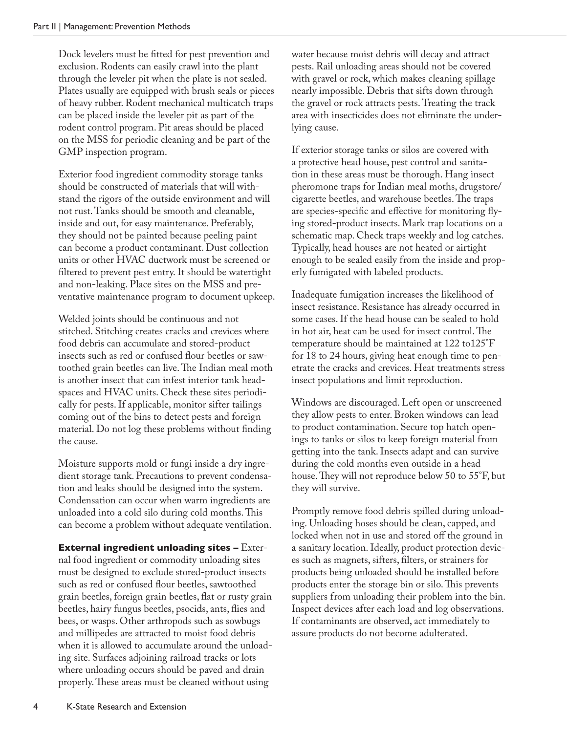Dock levelers must be fitted for pest prevention and exclusion. Rodents can easily crawl into the plant through the leveler pit when the plate is not sealed. Plates usually are equipped with brush seals or pieces of heavy rubber. Rodent mechanical multicatch traps can be placed inside the leveler pit as part of the rodent control program. Pit areas should be placed on the MSS for periodic cleaning and be part of the GMP inspection program.

Exterior food ingredient commodity storage tanks should be constructed of materials that will withstand the rigors of the outside environment and will not rust. Tanks should be smooth and cleanable, inside and out, for easy maintenance. Preferably, they should not be painted because peeling paint can become a product contaminant. Dust collection units or other HVAC ductwork must be screened or filtered to prevent pest entry. It should be watertight and non-leaking. Place sites on the MSS and preventative maintenance program to document upkeep.

Welded joints should be continuous and not stitched. Stitching creates cracks and crevices where food debris can accumulate and stored-product insects such as red or confused flour beetles or sawtoothed grain beetles can live. The Indian meal moth is another insect that can infest interior tank headspaces and HVAC units. Check these sites periodically for pests. If applicable, monitor sifter tailings coming out of the bins to detect pests and foreign material. Do not log these problems without finding the cause.

Moisture supports mold or fungi inside a dry ingredient storage tank. Precautions to prevent condensation and leaks should be designed into the system. Condensation can occur when warm ingredients are unloaded into a cold silo during cold months. This can become a problem without adequate ventilation.

**External ingredient unloading sites –** External food ingredient or commodity unloading sites must be designed to exclude stored-product insects such as red or confused flour beetles, sawtoothed grain beetles, foreign grain beetles, flat or rusty grain beetles, hairy fungus beetles, psocids, ants, flies and bees, or wasps. Other arthropods such as sowbugs and millipedes are attracted to moist food debris when it is allowed to accumulate around the unloading site. Surfaces adjoining railroad tracks or lots where unloading occurs should be paved and drain properly. These areas must be cleaned without using

water because moist debris will decay and attract pests. Rail unloading areas should not be covered with gravel or rock, which makes cleaning spillage nearly impossible. Debris that sifts down through the gravel or rock attracts pests. Treating the track area with insecticides does not eliminate the underlying cause.

If exterior storage tanks or silos are covered with a protective head house, pest control and sanitation in these areas must be thorough. Hang insect pheromone traps for Indian meal moths, drugstore/ cigarette beetles, and warehouse beetles. The traps are species-specific and effective for monitoring flying stored-product insects. Mark trap locations on a schematic map. Check traps weekly and log catches. Typically, head houses are not heated or airtight enough to be sealed easily from the inside and properly fumigated with labeled products.

Inadequate fumigation increases the likelihood of insect resistance. Resistance has already occurred in some cases. If the head house can be sealed to hold in hot air, heat can be used for insect control. The temperature should be maintained at 122 to125°F for 18 to 24 hours, giving heat enough time to penetrate the cracks and crevices. Heat treatments stress insect populations and limit reproduction.

Windows are discouraged. Left open or unscreened they allow pests to enter. Broken windows can lead to product contamination. Secure top hatch openings to tanks or silos to keep foreign material from getting into the tank. Insects adapt and can survive during the cold months even outside in a head house. They will not reproduce below 50 to 55°F, but they will survive.

Promptly remove food debris spilled during unloading. Unloading hoses should be clean, capped, and locked when not in use and stored off the ground in a sanitary location. Ideally, product protection devices such as magnets, sifters, filters, or strainers for products being unloaded should be installed before products enter the storage bin or silo. This prevents suppliers from unloading their problem into the bin. Inspect devices after each load and log observations. If contaminants are observed, act immediately to assure products do not become adulterated.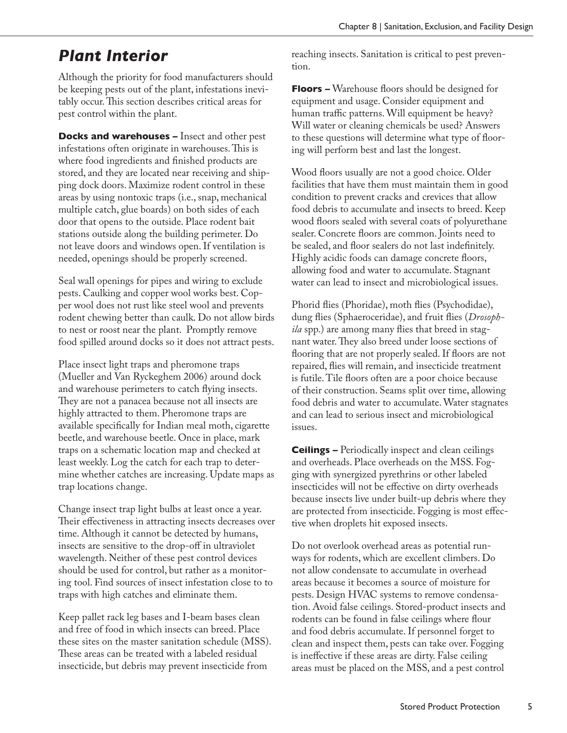#### *Plant Interior*

Although the priority for food manufacturers should be keeping pests out of the plant, infestations inevitably occur. This section describes critical areas for pest control within the plant.

**Docks and warehouses –** Insect and other pest infestations often originate in warehouses. This is where food ingredients and finished products are stored, and they are located near receiving and shipping dock doors. Maximize rodent control in these areas by using nontoxic traps (i.e., snap, mechanical multiple catch, glue boards) on both sides of each door that opens to the outside. Place rodent bait stations outside along the building perimeter. Do not leave doors and windows open. If ventilation is needed, openings should be properly screened.

Seal wall openings for pipes and wiring to exclude pests. Caulking and copper wool works best. Copper wool does not rust like steel wool and prevents rodent chewing better than caulk. Do not allow birds to nest or roost near the plant. Promptly remove food spilled around docks so it does not attract pests.

Place insect light traps and pheromone traps (Mueller and Van Ryckeghem 2006) around dock and warehouse perimeters to catch flying insects. They are not a panacea because not all insects are highly attracted to them. Pheromone traps are available specifically for Indian meal moth, cigarette beetle, and warehouse beetle. Once in place, mark traps on a schematic location map and checked at least weekly. Log the catch for each trap to determine whether catches are increasing. Update maps as trap locations change.

Change insect trap light bulbs at least once a year. Their effectiveness in attracting insects decreases over time. Although it cannot be detected by humans, insects are sensitive to the drop-off in ultraviolet wavelength. Neither of these pest control devices should be used for control, but rather as a monitoring tool. Find sources of insect infestation close to to traps with high catches and eliminate them.

Keep pallet rack leg bases and I-beam bases clean and free of food in which insects can breed. Place these sites on the master sanitation schedule (MSS). These areas can be treated with a labeled residual insecticide, but debris may prevent insecticide from

reaching insects. Sanitation is critical to pest prevention.

**Floors –** Warehouse floors should be designed for equipment and usage. Consider equipment and human traffic patterns. Will equipment be heavy? Will water or cleaning chemicals be used? Answers to these questions will determine what type of flooring will perform best and last the longest.

Wood floors usually are not a good choice. Older facilities that have them must maintain them in good condition to prevent cracks and crevices that allow food debris to accumulate and insects to breed. Keep wood floors sealed with several coats of polyurethane sealer. Concrete floors are common. Joints need to be sealed, and floor sealers do not last indefinitely. Highly acidic foods can damage concrete floors, allowing food and water to accumulate. Stagnant water can lead to insect and microbiological issues.

Phorid flies (Phoridae), moth flies (Psychodidae), dung flies (Sphaeroceridae), and fruit flies (*Drosophila* spp.) are among many flies that breed in stagnant water. They also breed under loose sections of flooring that are not properly sealed. If floors are not repaired, flies will remain, and insecticide treatment is futile. Tile floors often are a poor choice because of their construction. Seams split over time, allowing food debris and water to accumulate. Water stagnates and can lead to serious insect and microbiological issues.

**Ceilings –** Periodically inspect and clean ceilings and overheads. Place overheads on the MSS. Fogging with synergized pyrethrins or other labeled insecticides will not be effective on dirty overheads because insects live under built-up debris where they are protected from insecticide. Fogging is most effective when droplets hit exposed insects.

Do not overlook overhead areas as potential runways for rodents, which are excellent climbers. Do not allow condensate to accumulate in overhead areas because it becomes a source of moisture for pests. Design HVAC systems to remove condensation. Avoid false ceilings. Stored-product insects and rodents can be found in false ceilings where flour and food debris accumulate. If personnel forget to clean and inspect them, pests can take over. Fogging is ineffective if these areas are dirty. False ceiling areas must be placed on the MSS, and a pest control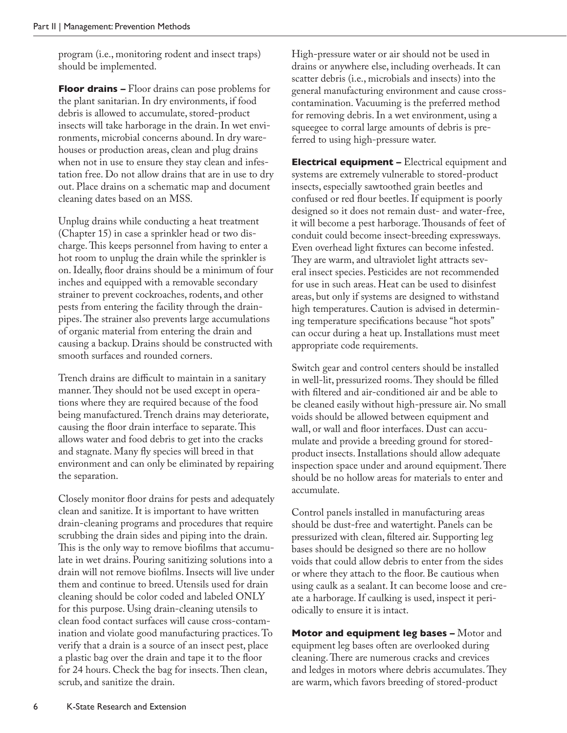program (i.e., monitoring rodent and insect traps) should be implemented.

**Floor drains –** Floor drains can pose problems for the plant sanitarian. In dry environments, if food debris is allowed to accumulate, stored-product insects will take harborage in the drain. In wet environments, microbial concerns abound. In dry warehouses or production areas, clean and plug drains when not in use to ensure they stay clean and infestation free. Do not allow drains that are in use to dry out. Place drains on a schematic map and document cleaning dates based on an MSS.

Unplug drains while conducting a heat treatment (Chapter 15) in case a sprinkler head or two discharge. This keeps personnel from having to enter a hot room to unplug the drain while the sprinkler is on. Ideally, floor drains should be a minimum of four inches and equipped with a removable secondary strainer to prevent cockroaches, rodents, and other pests from entering the facility through the drainpipes. The strainer also prevents large accumulations of organic material from entering the drain and causing a backup. Drains should be constructed with smooth surfaces and rounded corners.

Trench drains are difficult to maintain in a sanitary manner. They should not be used except in operations where they are required because of the food being manufactured. Trench drains may deteriorate, causing the floor drain interface to separate. This allows water and food debris to get into the cracks and stagnate. Many fly species will breed in that environment and can only be eliminated by repairing the separation.

Closely monitor floor drains for pests and adequately clean and sanitize. It is important to have written drain-cleaning programs and procedures that require scrubbing the drain sides and piping into the drain. This is the only way to remove biofilms that accumulate in wet drains. Pouring sanitizing solutions into a drain will not remove biofilms. Insects will live under them and continue to breed. Utensils used for drain cleaning should be color coded and labeled ONLY for this purpose. Using drain-cleaning utensils to clean food contact surfaces will cause cross-contamination and violate good manufacturing practices. To verify that a drain is a source of an insect pest, place a plastic bag over the drain and tape it to the floor for 24 hours. Check the bag for insects. Then clean, scrub, and sanitize the drain.

High-pressure water or air should not be used in drains or anywhere else, including overheads. It can scatter debris (i.e., microbials and insects) into the general manufacturing environment and cause crosscontamination. Vacuuming is the preferred method for removing debris. In a wet environment, using a squeegee to corral large amounts of debris is preferred to using high-pressure water.

**Electrical equipment –** Electrical equipment and systems are extremely vulnerable to stored-product insects, especially sawtoothed grain beetles and confused or red flour beetles. If equipment is poorly designed so it does not remain dust- and water-free, it will become a pest harborage. Thousands of feet of conduit could become insect-breeding expressways. Even overhead light fixtures can become infested. They are warm, and ultraviolet light attracts several insect species. Pesticides are not recommended for use in such areas. Heat can be used to disinfest areas, but only if systems are designed to withstand high temperatures. Caution is advised in determining temperature specifications because "hot spots" can occur during a heat up. Installations must meet appropriate code requirements.

Switch gear and control centers should be installed in well-lit, pressurized rooms. They should be filled with filtered and air-conditioned air and be able to be cleaned easily without high-pressure air. No small voids should be allowed between equipment and wall, or wall and floor interfaces. Dust can accumulate and provide a breeding ground for storedproduct insects. Installations should allow adequate inspection space under and around equipment. There should be no hollow areas for materials to enter and accumulate.

Control panels installed in manufacturing areas should be dust-free and watertight. Panels can be pressurized with clean, filtered air. Supporting leg bases should be designed so there are no hollow voids that could allow debris to enter from the sides or where they attach to the floor. Be cautious when using caulk as a sealant. It can become loose and create a harborage. If caulking is used, inspect it periodically to ensure it is intact.

**Motor and equipment leg bases –** Motor and equipment leg bases often are overlooked during cleaning. There are numerous cracks and crevices and ledges in motors where debris accumulates. They are warm, which favors breeding of stored-product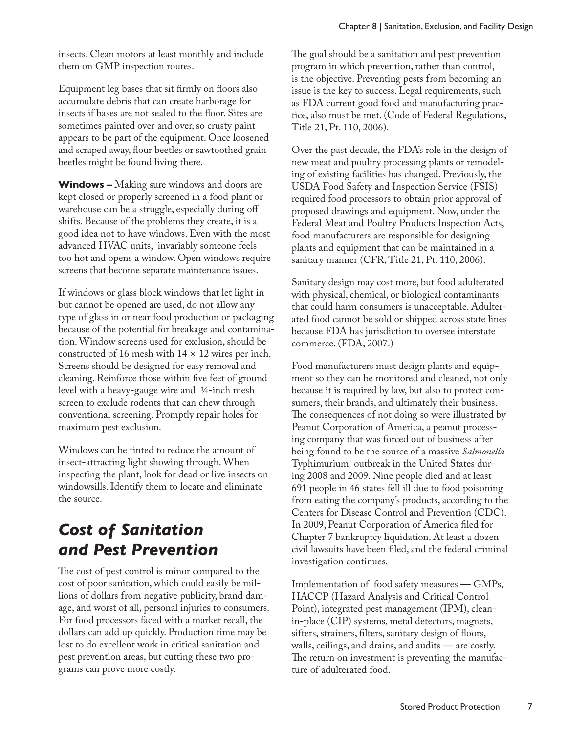insects. Clean motors at least monthly and include them on GMP inspection routes.

Equipment leg bases that sit firmly on floors also accumulate debris that can create harborage for insects if bases are not sealed to the floor. Sites are sometimes painted over and over, so crusty paint appears to be part of the equipment. Once loosened and scraped away, flour beetles or sawtoothed grain beetles might be found living there.

**Windows –** Making sure windows and doors are kept closed or properly screened in a food plant or warehouse can be a struggle, especially during off shifts. Because of the problems they create, it is a good idea not to have windows. Even with the most advanced HVAC units, invariably someone feels too hot and opens a window. Open windows require screens that become separate maintenance issues.

If windows or glass block windows that let light in but cannot be opened are used, do not allow any type of glass in or near food production or packaging because of the potential for breakage and contamination. Window screens used for exclusion, should be constructed of 16 mesh with  $14 \times 12$  wires per inch. Screens should be designed for easy removal and cleaning. Reinforce those within five feet of ground level with a heavy-gauge wire and ¼-inch mesh screen to exclude rodents that can chew through conventional screening. Promptly repair holes for maximum pest exclusion.

Windows can be tinted to reduce the amount of insect-attracting light showing through. When inspecting the plant, look for dead or live insects on windowsills. Identify them to locate and eliminate the source.

#### *Cost of Sanitation and Pest Prevention*

The cost of pest control is minor compared to the cost of poor sanitation, which could easily be millions of dollars from negative publicity, brand damage, and worst of all, personal injuries to consumers. For food processors faced with a market recall, the dollars can add up quickly. Production time may be lost to do excellent work in critical sanitation and pest prevention areas, but cutting these two programs can prove more costly.

The goal should be a sanitation and pest prevention program in which prevention, rather than control, is the objective. Preventing pests from becoming an issue is the key to success. Legal requirements, such as FDA current good food and manufacturing practice, also must be met. (Code of Federal Regulations, Title 21, Pt. 110, 2006).

Over the past decade, the FDA's role in the design of new meat and poultry processing plants or remodeling of existing facilities has changed. Previously, the USDA Food Safety and Inspection Service (FSIS) required food processors to obtain prior approval of proposed drawings and equipment. Now, under the Federal Meat and Poultry Products Inspection Acts, food manufacturers are responsible for designing plants and equipment that can be maintained in a sanitary manner (CFR, Title 21, Pt. 110, 2006).

Sanitary design may cost more, but food adulterated with physical, chemical, or biological contaminants that could harm consumers is unacceptable. Adulterated food cannot be sold or shipped across state lines because FDA has jurisdiction to oversee interstate commerce. (FDA, 2007.)

Food manufacturers must design plants and equipment so they can be monitored and cleaned, not only because it is required by law, but also to protect consumers, their brands, and ultimately their business. The consequences of not doing so were illustrated by Peanut Corporation of America, a peanut processing company that was forced out of business after being found to be the source of a massive *Salmonella*  Typhimurium outbreak in the United States during 2008 and 2009. Nine people died and at least 691 people in 46 states fell ill due to food poisoning from eating the company's products, according to the Centers for Disease Control and Prevention (CDC). In 2009, Peanut Corporation of America filed for Chapter 7 bankruptcy liquidation. At least a dozen civil lawsuits have been filed, and the federal criminal investigation continues.

Implementation of food safety measures — GMPs, HACCP (Hazard Analysis and Critical Control Point), integrated pest management (IPM), cleanin-place (CIP) systems, metal detectors, magnets, sifters, strainers, filters, sanitary design of floors, walls, ceilings, and drains, and audits — are costly. The return on investment is preventing the manufacture of adulterated food.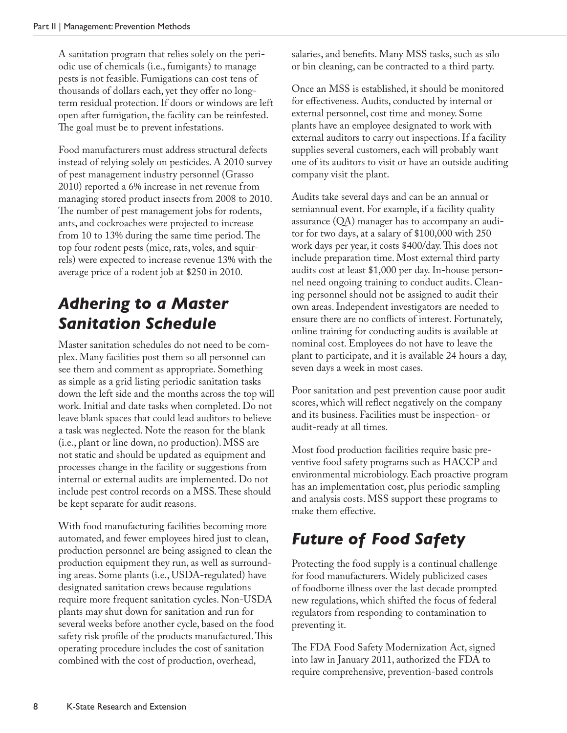A sanitation program that relies solely on the periodic use of chemicals (i.e., fumigants) to manage pests is not feasible. Fumigations can cost tens of thousands of dollars each, yet they offer no longterm residual protection. If doors or windows are left open after fumigation, the facility can be reinfested. The goal must be to prevent infestations.

Food manufacturers must address structural defects instead of relying solely on pesticides. A 2010 survey of pest management industry personnel (Grasso 2010) reported a 6% increase in net revenue from managing stored product insects from 2008 to 2010. The number of pest management jobs for rodents, ants, and cockroaches were projected to increase from 10 to 13% during the same time period. The top four rodent pests (mice, rats, voles, and squirrels) were expected to increase revenue 13% with the average price of a rodent job at \$250 in 2010.

### *Adhering to a Master Sanitation Schedule*

Master sanitation schedules do not need to be complex. Many facilities post them so all personnel can see them and comment as appropriate. Something as simple as a grid listing periodic sanitation tasks down the left side and the months across the top will work. Initial and date tasks when completed. Do not leave blank spaces that could lead auditors to believe a task was neglected. Note the reason for the blank (i.e., plant or line down, no production). MSS are not static and should be updated as equipment and processes change in the facility or suggestions from internal or external audits are implemented. Do not include pest control records on a MSS. These should be kept separate for audit reasons.

With food manufacturing facilities becoming more automated, and fewer employees hired just to clean, production personnel are being assigned to clean the production equipment they run, as well as surrounding areas. Some plants (i.e., USDA-regulated) have designated sanitation crews because regulations require more frequent sanitation cycles. Non-USDA plants may shut down for sanitation and run for several weeks before another cycle, based on the food safety risk profile of the products manufactured. This operating procedure includes the cost of sanitation combined with the cost of production, overhead,

salaries, and benefits. Many MSS tasks, such as silo or bin cleaning, can be contracted to a third party.

Once an MSS is established, it should be monitored for effectiveness. Audits, conducted by internal or external personnel, cost time and money. Some plants have an employee designated to work with external auditors to carry out inspections. If a facility supplies several customers, each will probably want one of its auditors to visit or have an outside auditing company visit the plant.

Audits take several days and can be an annual or semiannual event. For example, if a facility quality assurance (QA) manager has to accompany an auditor for two days, at a salary of \$100,000 with 250 work days per year, it costs \$400/day. This does not include preparation time. Most external third party audits cost at least \$1,000 per day. In-house personnel need ongoing training to conduct audits. Cleaning personnel should not be assigned to audit their own areas. Independent investigators are needed to ensure there are no conflicts of interest. Fortunately, online training for conducting audits is available at nominal cost. Employees do not have to leave the plant to participate, and it is available 24 hours a day, seven days a week in most cases.

Poor sanitation and pest prevention cause poor audit scores, which will reflect negatively on the company and its business. Facilities must be inspection- or audit-ready at all times.

Most food production facilities require basic preventive food safety programs such as HACCP and environmental microbiology. Each proactive program has an implementation cost, plus periodic sampling and analysis costs. MSS support these programs to make them effective.

## *Future of Food Safety*

Protecting the food supply is a continual challenge for food manufacturers. Widely publicized cases of foodborne illness over the last decade prompted new regulations, which shifted the focus of federal regulators from responding to contamination to preventing it.

The FDA Food Safety Modernization Act, signed into law in January 2011, authorized the FDA to require comprehensive, prevention-based controls